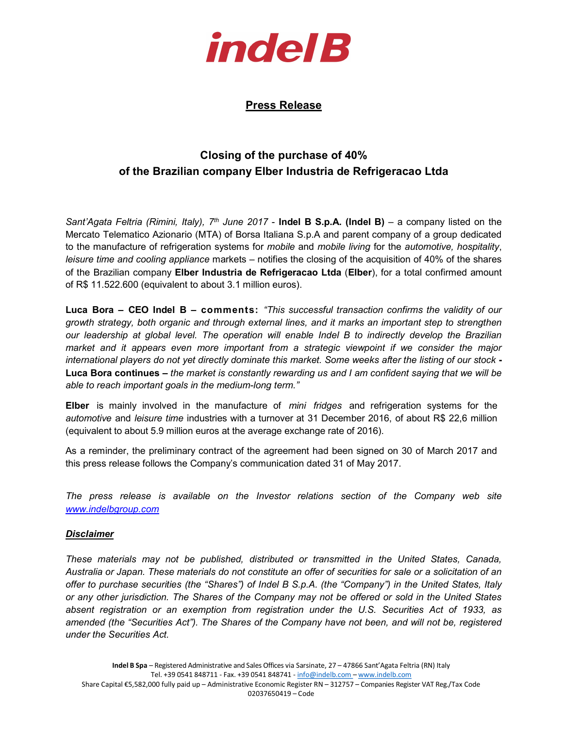

## Press Release

## Closing of the purchase of 40% of the Brazilian company Elber Industria de Refrigeracao Ltda

Sant'Agata Feltria (Rimini, Italy),  $7<sup>th</sup>$  June 2017 - Indel B S.p.A. (Indel B) – a company listed on the Mercato Telematico Azionario (MTA) of Borsa Italiana S.p.A and parent company of a group dedicated to the manufacture of refrigeration systems for mobile and mobile living for the automotive, hospitality, leisure time and cooling appliance markets – notifies the closing of the acquisition of 40% of the shares of the Brazilian company Elber Industria de Refrigeracao Ltda (Elber), for a total confirmed amount of R\$ 11.522.600 (equivalent to about 3.1 million euros).

Luca Bora – CEO Indel B – comments: "This successful transaction confirms the validity of our growth strategy, both organic and through external lines, and it marks an important step to strengthen our leadership at global level. The operation will enable Indel B to indirectly develop the Brazilian market and it appears even more important from a strategic viewpoint if we consider the major international players do not yet directly dominate this market. Some weeks after the listing of our stock - Luca Bora continues – the market is constantly rewarding us and I am confident saying that we will be able to reach important goals in the medium-long term."

**Elber** is mainly involved in the manufacture of *mini fridges* and refrigeration systems for the automotive and leisure time industries with a turnover at 31 December 2016, of about R\$ 22,6 million (equivalent to about 5.9 million euros at the average exchange rate of 2016).

As a reminder, the preliminary contract of the agreement had been signed on 30 of March 2017 and this press release follows the Company's communication dated 31 of May 2017.

The press release is available on the Investor relations section of the Company web site www.indelbgroup.com

## Disclaimer

These materials may not be published, distributed or transmitted in the United States, Canada, Australia or Japan. These materials do not constitute an offer of securities for sale or a solicitation of an offer to purchase securities (the "Shares") of Indel B S.p.A. (the "Company") in the United States, Italy or any other jurisdiction. The Shares of the Company may not be offered or sold in the United States absent registration or an exemption from registration under the U.S. Securities Act of 1933, as amended (the "Securities Act"). The Shares of the Company have not been, and will not be, registered under the Securities Act.